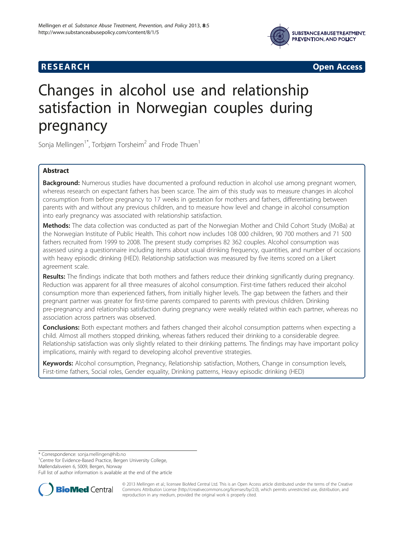

# **RESEARCH RESEARCH CONSUMING ACCESS**

# Changes in alcohol use and relationship satisfaction in Norwegian couples during pregnancy

Sonja Mellingen<sup>1\*</sup>, Torbjørn Torsheim<sup>2</sup> and Frode Thuen<sup>1</sup>

# Abstract

Background: Numerous studies have documented a profound reduction in alcohol use among pregnant women, whereas research on expectant fathers has been scarce. The aim of this study was to measure changes in alcohol consumption from before pregnancy to 17 weeks in gestation for mothers and fathers, differentiating between parents with and without any previous children, and to measure how level and change in alcohol consumption into early pregnancy was associated with relationship satisfaction.

Methods: The data collection was conducted as part of the Norwegian Mother and Child Cohort Study (MoBa) at the Norwegian Institute of Public Health. This cohort now includes 108 000 children, 90 700 mothers and 71 500 fathers recruited from 1999 to 2008. The present study comprises 82 362 couples. Alcohol consumption was assessed using a questionnaire including items about usual drinking frequency, quantities, and number of occasions with heavy episodic drinking (HED). Relationship satisfaction was measured by five items scored on a Likert agreement scale.

Results: The findings indicate that both mothers and fathers reduce their drinking significantly during pregnancy. Reduction was apparent for all three measures of alcohol consumption. First-time fathers reduced their alcohol consumption more than experienced fathers, from initially higher levels. The gap between the fathers and their pregnant partner was greater for first-time parents compared to parents with previous children. Drinking pre-pregnancy and relationship satisfaction during pregnancy were weakly related within each partner, whereas no association across partners was observed.

**Conclusions:** Both expectant mothers and fathers changed their alcohol consumption patterns when expecting a child. Almost all mothers stopped drinking, whereas fathers reduced their drinking to a considerable degree. Relationship satisfaction was only slightly related to their drinking patterns. The findings may have important policy implications, mainly with regard to developing alcohol preventive strategies.

Keywords: Alcohol consumption, Pregnancy, Relationship satisfaction, Mothers, Change in consumption levels, First-time fathers, Social roles, Gender equality, Drinking patterns, Heavy episodic drinking (HED)

\* Correspondence: [sonja.mellingen@hib.no](mailto:sonja.mellingen@hib.no) <sup>1</sup>

<sup>1</sup> Centre for Evidence-Based Practice, Bergen University College, Møllendalsveien 6, 5009, Bergen, Norway

Full list of author information is available at the end of the article



© 2013 Mellingen et al.; licensee BioMed Central Ltd. This is an Open Access article distributed under the terms of the Creative Commons Attribution License [\(http://creativecommons.org/licenses/by/2.0\)](http://creativecommons.org/licenses/by/2.0), which permits unrestricted use, distribution, and reproduction in any medium, provided the original work is properly cited.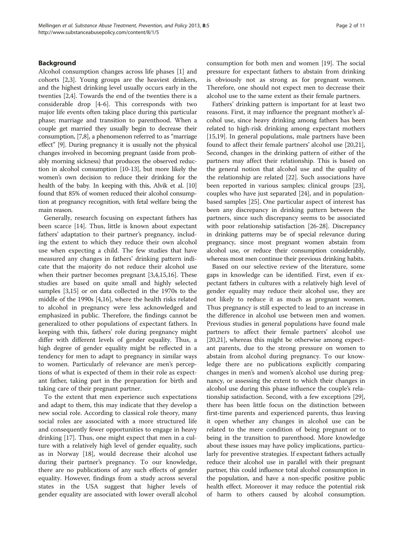#### Background

Alcohol consumption changes across life phases [[1\]](#page-9-0) and cohorts [\[2](#page-9-0),[3](#page-9-0)]. Young groups are the heaviest drinkers, and the highest drinking level usually occurs early in the twenties [[2](#page-9-0),[4\]](#page-9-0). Towards the end of the twenties there is a considerable drop [[4-6](#page-9-0)]. This corresponds with two major life events often taking place during this particular phase; marriage and transition to parenthood. When a couple get married they usually begin to decrease their consumption, [\[7,8\]](#page-9-0), a phenomenon referred to as "marriage effect" [\[9\]](#page-9-0). During pregnancy it is usually not the physical changes involved in becoming pregnant (aside from probably morning sickness) that produces the observed reduction in alcohol consumption [[10](#page-9-0)-[13](#page-9-0)], but more likely the women's own decision to reduce their drinking for the health of the baby. In keeping with this, Alvik et al. [\[10](#page-9-0)] found that 85% of women reduced their alcohol consumption at pregnancy recognition, with fetal welfare being the main reason.

Generally, research focusing on expectant fathers has been scarce [\[14](#page-9-0)]. Thus, little is known about expectant fathers' adaptation to their partner's pregnancy, including the extent to which they reduce their own alcohol use when expecting a child. The few studies that have measured any changes in fathers' drinking pattern indicate that the majority do not reduce their alcohol use when their partner becomes pregnant [\[3,4,15,16](#page-9-0)]. These studies are based on quite small and highly selected samples [\[3,15](#page-9-0)] or on data collected in the 1970s to the middle of the 1990s [\[4,16](#page-9-0)], where the health risks related to alcohol in pregnancy were less acknowledged and emphasized in public. Therefore, the findings cannot be generalized to other populations of expectant fathers. In keeping with this, fathers' role during pregnancy might differ with different levels of gender equality. Thus, a high degree of gender equality might be reflected in a tendency for men to adapt to pregnancy in similar ways to women. Particularly of relevance are men's perceptions of what is expected of them in their role as expectant father, taking part in the preparation for birth and taking care of their pregnant partner.

To the extent that men experience such expectations and adapt to them, this may indicate that they develop a new social role. According to classical role theory, many social roles are associated with a more structured life and consequently fewer opportunities to engage in heavy drinking [\[17](#page-9-0)]. Thus, one might expect that men in a culture with a relatively high level of gender equality, such as in Norway [\[18\]](#page-9-0), would decrease their alcohol use during their partner's pregnancy. To our knowledge, there are no publications of any such effects of gender equality. However, findings from a study across several states in the USA suggest that higher levels of gender equality are associated with lower overall alcohol consumption for both men and women [\[19\]](#page-9-0). The social pressure for expectant fathers to abstain from drinking is obviously not as strong as for pregnant women. Therefore, one should not expect men to decrease their alcohol use to the same extent as their female partners.

Fathers' drinking pattern is important for at least two reasons. First, it may influence the pregnant mother's alcohol use, since heavy drinking among fathers has been related to high-risk drinking among expectant mothers [[15,19\]](#page-9-0). In general populations, male partners have been found to affect their female partners' alcohol use [\[20,21](#page-9-0)], Second, changes in the drinking pattern of either of the partners may affect their relationship. This is based on the general notion that alcohol use and the quality of the relationship are related [[22\]](#page-9-0). Such associations have been reported in various samples; clinical groups [\[23](#page-9-0)], couples who have just separated [\[24](#page-9-0)], and in populationbased samples [[25](#page-9-0)]. One particular aspect of interest has been any discrepancy in drinking pattern between the partners, since such discrepancy seems to be associated with poor relationship satisfaction [\[26-28](#page-9-0)]. Discrepancy in drinking patterns may be of special relevance during pregnancy, since most pregnant women abstain from alcohol use, or reduce their consumption considerably, whereas most men continue their previous drinking habits.

Based on our selective review of the literature, some gaps in knowledge can be identified. First, even if expectant fathers in cultures with a relatively high level of gender equality may reduce their alcohol use, they are not likely to reduce it as much as pregnant women. Thus pregnancy is still expected to lead to an increase in the difference in alcohol use between men and women. Previous studies in general populations have found male partners to affect their female partners' alcohol use [[20,21\]](#page-9-0), whereas this might be otherwise among expectant parents, due to the strong pressure on women to abstain from alcohol during pregnancy. To our knowledge there are no publications explicitly comparing changes in men's and women's alcohol use during pregnancy, or assessing the extent to which their changes in alcohol use during this phase influence the couple's relationship satisfaction. Second, with a few exceptions [\[29](#page-9-0)], there has been little focus on the distinction between first-time parents and experienced parents, thus leaving it open whether any changes in alcohol use can be related to the mere condition of being pregnant or to being in the transition to parenthood. More knowledge about these issues may have policy implications, particularly for preventive strategies. If expectant fathers actually reduce their alcohol use in parallel with their pregnant partner, this could influence total alcohol consumption in the population, and have a non-specific positive public health effect. Moreover it may reduce the potential risk of harm to others caused by alcohol consumption.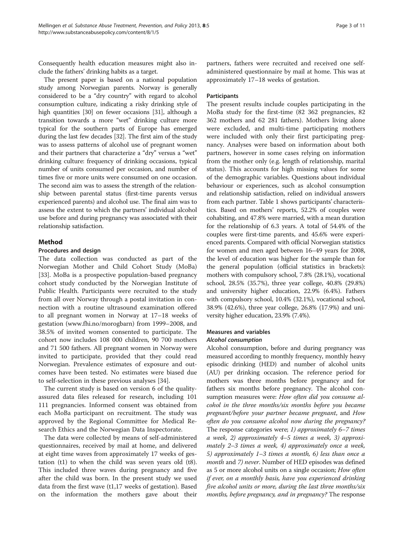Consequently health education measures might also include the fathers' drinking habits as a target.

The present paper is based on a national population study among Norwegian parents. Norway is generally considered to be a "dry country" with regard to alcohol consumption culture, indicating a risky drinking style of high quantities [[30](#page-9-0)] on fewer occasions [[31](#page-9-0)], although a transition towards a more "wet" drinking culture more typical for the southern parts of Europe has emerged during the last few decades [\[32\]](#page-9-0). The first aim of the study was to assess patterns of alcohol use of pregnant women and their partners that characterize a "dry" versus a "wet" drinking culture: frequency of drinking occasions, typical number of units consumed per occasion, and number of times five or more units were consumed on one occasion. The second aim was to assess the strength of the relationship between parental status (first-time parents versus experienced parents) and alcohol use. The final aim was to assess the extent to which the partners' individual alcohol use before and during pregnancy was associated with their relationship satisfaction.

# Method

#### Procedures and design

The data collection was conducted as part of the Norwegian Mother and Child Cohort Study (MoBa) [[33\]](#page-9-0). MoBa is a prospective population-based pregnancy cohort study conducted by the Norwegian Institute of Public Health. Participants were recruited to the study from all over Norway through a postal invitation in connection with a routine ultrasound examination offered to all pregnant women in Norway at 17–18 weeks of gestation ([www.fhi.no/morogbarn](http://www.fhi.no/morogbarn)) from 1999–2008, and 38.5% of invited women consented to participate. The cohort now includes 108 000 children, 90 700 mothers and 71 500 fathers. All pregnant women in Norway were invited to participate, provided that they could read Norwegian. Prevalence estimates of exposure and outcomes have been tested. No estimates were biased due to self-selection in these previous analyses [[34\]](#page-10-0).

The current study is based on version 6 of the qualityassured data files released for research, including 101 111 pregnancies. Informed consent was obtained from each MoBa participant on recruitment. The study was approved by the Regional Committee for Medical Research Ethics and the Norwegian Data Inspectorate.

The data were collected by means of self-administered questionnaires, received by mail at home, and delivered at eight time waves from approximately 17 weeks of gestation (t1) to when the child was seven years old (t8). This included three waves during pregnancy and five after the child was born. In the present study we used data from the first wave (t1,17 weeks of gestation). Based on the information the mothers gave about their

partners, fathers were recruited and received one selfadministered questionnaire by mail at home. This was at approximately 17–18 weeks of gestation.

## **Participants**

The present results include couples participating in the MoBa study for the first-time (82 362 pregnancies, 82 362 mothers and 62 281 fathers). Mothers living alone were excluded, and multi-time participating mothers were included with only their first participating pregnancy. Analyses were based on information about both partners, however in some cases relying on information from the mother only (e.g. length of relationship, marital status). This accounts for high missing values for some of the demographic variables. Questions about individual behaviour or experiences, such as alcohol consumption and relationship satisfaction, relied on individual answers from each partner. Table [1](#page-3-0) shows participants' characteristics. Based on mothers' reports, 52.2% of couples were cohabiting, and 47.8% were married, with a mean duration for the relationship of 6.3 years. A total of 54.4% of the couples were first-time parents, and 45.6% were experienced parents. Compared with official Norwegian statistics for women and men aged between 16–49 years for 2008, the level of education was higher for the sample than for the general population (official statistics in brackets): mothers with compulsory school, 7.8% (28.1%), vocational school, 28.5% (35.7%), three year college, 40.8% (29.8%) and university higher education, 22.9% (6.4%). Fathers with compulsory school, 10.4% (32.1%), vocational school, 38.9% (42.6%), three year college, 26.8% (17.9%) and university higher education, 23.9% (7.4%).

# Measures and variables

# Alcohol consumption

Alcohol consumption, before and during pregnancy was measured according to monthly frequency, monthly heavy episodic drinking (HED) and number of alcohol units (AU) per drinking occasion. The reference period for mothers was three months before pregnancy and for fathers six months before pregnancy. The alcohol consumption measures were: How often did you consume alcohol in the three months/six months before you became pregnant/before your partner became pregnant, and How often do you consume alcohol now during the pregnancy? The response categories were; 1) approximately 6–7 times a week, 2) approximately 4–5 times a week, 3) approximately 2–3 times a week, 4) approximately once a week, 5) approximately 1–3 times a month, 6) less than once a month and 7) never. Number of HED episodes was defined as 5 or more alcohol units on a single occasion; How often if ever, on a monthly basis, have you experienced drinking five alcohol units or more, during the last three months/six months, before pregnancy, and in pregnancy? The response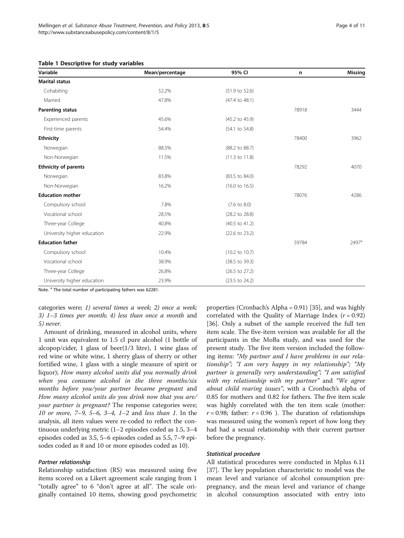| Variable                    | Mean/percentage | 95% CI                    | n     | <b>Missing</b>    |  |
|-----------------------------|-----------------|---------------------------|-------|-------------------|--|
| <b>Marital status</b>       |                 |                           |       |                   |  |
| Cohabiting                  | 52.2%           | $(51.9 \text{ to } 52.6)$ |       |                   |  |
| Married                     | 47.8%           | $(47.4 \text{ to } 48.1)$ |       |                   |  |
| <b>Parenting status</b>     |                 |                           | 78918 | 3444              |  |
| Experienced parents         | 45.6%           | $(45.2 \text{ to } 45.9)$ |       |                   |  |
| First-time parents          | 54.4%           | $(54.1 \text{ to } 54.8)$ |       |                   |  |
| <b>Ethnicity</b>            |                 |                           | 78400 | 3962              |  |
| Norwegian                   | 88.5%           | (88.2 to 88.7)            |       |                   |  |
| Non-Norwegian               | 11.5%           | $(11.3 \text{ to } 11.8)$ |       |                   |  |
| <b>Ethnicity of parents</b> |                 |                           | 78292 | 4070              |  |
| Norwegian                   | 83.8%           | $(83.5 \text{ to } 84.0)$ |       |                   |  |
| Non-Norwegian               | 16.2%           | $(16.0 \text{ to } 16.5)$ |       |                   |  |
| <b>Education mother</b>     |                 |                           | 78076 | 4286              |  |
| Compulsory school           | 7.8%            | $(7.6 \text{ to } 8.0)$   |       |                   |  |
| Vocational school           | 28.5%           | $(28.2 \text{ to } 28.8)$ |       |                   |  |
| Three-year College          | 40.8%           | $(40.5 \text{ to } 41.2)$ |       |                   |  |
| University higher education | 22.9%           | $(22.6 \text{ to } 23.2)$ |       |                   |  |
| <b>Education father</b>     |                 |                           | 59784 | 2497 <sup>a</sup> |  |
| Compulsory school           | 10.4%           | $(10.2 \text{ to } 10.7)$ |       |                   |  |
| Vocational school           | 38.9%           | $(38.5 \text{ to } 39.3)$ |       |                   |  |
| Three-year College          | 26.8%           | $(26.5 \text{ to } 27.2)$ |       |                   |  |
| University higher education | 23.9%           | $(23.5 \text{ to } 24.2)$ |       |                   |  |

<span id="page-3-0"></span>Table 1 Descriptive for study variables

Note.<sup>a</sup> The total number of participating fathers was 62281.

categories were; 1) several times a week; 2) once a week; 3) 1–3 times per month; 4) less than once a month and 5) never.

Amount of drinking, measured in alcohol units, where 1 unit was equivalent to 1.5 cl pure alcohol (1 bottle of alcopop/cider, 1 glass of beer(1/3 litre), 1 wine glass of red wine or white wine, 1 sherry glass of sherry or other fortified wine, 1 glass with a single measure of spirit or liquor); How many alcohol units did you normally drink when you consume alcohol in the three months/six months before you/your partner became pregnant and How many alcohol units do you drink now that you are/ your partner is pregnant? The response categories were; 10 or more, 7–9, 5–6, 3–4, 1–2 and less than 1. In the analysis, all item values were re-coded to reflect the continuous underlying metric (1–2 episodes coded as 1.5, 3–4 episodes coded as 3.5, 5–6 episodes coded as 5.5, 7–9 episodes coded as 8 and 10 or more episodes coded as 10).

#### Partner relationship

Relationship satisfaction (RS) was measured using five items scored on a Likert agreement scale ranging from 1 "totally agree" to 6 "don't agree at all". The scale originally contained 10 items, showing good psychometric

properties (Cronbach's Alpha = 0.91) [[35\]](#page-10-0), and was highly correlated with the Quality of Marriage Index  $(r = 0.92)$ [[36\]](#page-10-0). Only a subset of the sample received the full ten item scale. The five-item version was available for all the participants in the MoBa study, and was used for the present study. The five item version included the following items: "My partner and I have problems in our relationship"; "I am very happy in my relationship"; "My partner is generally very understanding"; "I am satisfied with my relationship with my partner" and "We agree about child rearing issues", with a Cronbach's alpha of 0.85 for mothers and 0.82 for fathers. The five item scale was highly correlated with the ten item scale (mother:  $r = 0.98$ ; father:  $r = 0.96$  ). The duration of relationships was measured using the women's report of how long they had had a sexual relationship with their current partner before the pregnancy.

## Statistical procedure

All statistical procedures were conducted in Mplus 6.11 [[37\]](#page-10-0). The key population characteristic to model was the mean level and variance of alcohol consumption prepregnancy, and the mean level and variance of change in alcohol consumption associated with entry into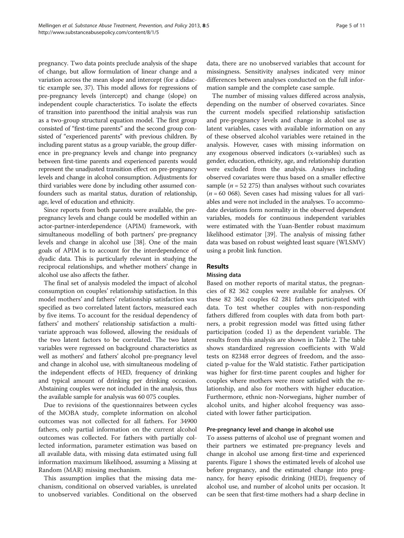pregnancy. Two data points preclude analysis of the shape of change, but allow formulation of linear change and a variation across the mean slope and intercept (for a didactic example see, 37). This model allows for regressions of pre-pregnancy levels (intercept) and change (slope) on independent couple characteristics. To isolate the effects of transition into parenthood the initial analysis was run as a two-group structural equation model. The first group consisted of "first-time parents" and the second group consisted of "experienced parents" with previous children. By

including parent status as a group variable, the group difference in pre-pregnancy levels and change into pregnancy between first-time parents and experienced parents would represent the unadjusted transition effect on pre-pregnancy levels and change in alcohol consumption. Adjustments for third variables were done by including other assumed confounders such as marital status, duration of relationship, age, level of education and ethnicity.

Since reports from both parents were available, the prepregnancy levels and change could be modelled within an actor-partner-interdependence (APIM) framework, with simultaneous modelling of both partners' pre-pregnancy levels and change in alcohol use [\[38](#page-10-0)]. One of the main goals of APIM is to account for the interdependence of dyadic data. This is particularly relevant in studying the reciprocal relationships, and whether mothers' change in alcohol use also affects the father.

The final set of analysis modeled the impact of alcohol consumption on couples' relationship satisfaction. In this model mothers' and fathers' relationship satisfaction was specified as two correlated latent factors, measured each by five items. To account for the residual dependency of fathers' and mothers' relationship satisfaction a multivariate approach was followed, allowing the residuals of the two latent factors to be correlated. The two latent variables were regressed on background characteristics as well as mothers' and fathers' alcohol pre-pregnancy level and change in alcohol use, with simultaneous modeling of the independent effects of HED, frequency of drinking and typical amount of drinking per drinking occasion. Abstaining couples were not included in the analysis, thus the available sample for analysis was 60 075 couples.

Due to revisions of the questionnaires between cycles of the MOBA study, complete information on alcohol outcomes was not collected for all fathers. For 34900 fathers, only partial information on the current alcohol outcomes was collected. For fathers with partially collected information, parameter estimation was based on all available data, with missing data estimated using full information maximum likelihood, assuming a Missing at Random (MAR) missing mechanism.

This assumption implies that the missing data mechanism, conditional on observed variables, is unrelated to unobserved variables. Conditional on the observed

data, there are no unobserved variables that account for missingness. Sensitivity analyses indicated very minor differences between analyses conducted on the full information sample and the complete case sample.

The number of missing values differed across analysis, depending on the number of observed covariates. Since the current models specified relationship satisfaction and pre-pregnancy levels and change in alcohol use as latent variables, cases with available information on any of these observed alcohol variables were retained in the analysis. However, cases with missing information on any exogenous observed indicators (x-variables) such as gender, education, ethnicity, age, and relationship duration were excluded from the analysis. Analyses including observed covariates were thus based on a smaller effective sample ( $n = 52$  275) than analyses without such covariates  $(n = 60 068)$ . Seven cases had missing values for all variables and were not included in the analyses. To accommodate deviations form normality in the observed dependent variables, models for continuous independent variables were estimated with the Yuan-Bentler robust maximum likelihood estimator [[39](#page-10-0)]. The analysis of missing father data was based on robust weighted least square (WLSMV) using a probit link function.

# Results

# Missing data

Based on mother reports of marital status, the pregnancies of 82 362 couples were available for analyses. Of these 82 362 couples 62 281 fathers participated with data. To test whether couples with non-responding fathers differed from couples with data from both partners, a probit regression model was fitted using father participation (coded 1) as the dependent variable. The results from this analysis are shown in Table [2.](#page-5-0) The table shows standardized regression coefficients with Wald tests on 82348 error degrees of freedom, and the associated p-value for the Wald statistic. Father participation was higher for first-time parent couples and higher for couples where mothers were more satisfied with the relationship, and also for mothers with higher education. Furthermore, ethnic non-Norwegians, higher number of alcohol units, and higher alcohol frequency was associated with lower father participation.

#### Pre-pregnancy level and change in alcohol use

To assess patterns of alcohol use of pregnant women and their partners we estimated pre-pregnancy levels and change in alcohol use among first-time and experienced parents. Figure [1](#page-5-0) shows the estimated levels of alcohol use before pregnancy, and the estimated change into pregnancy, for heavy episodic drinking (HED), frequency of alcohol use, and number of alcohol units per occasion. It can be seen that first-time mothers had a sharp decline in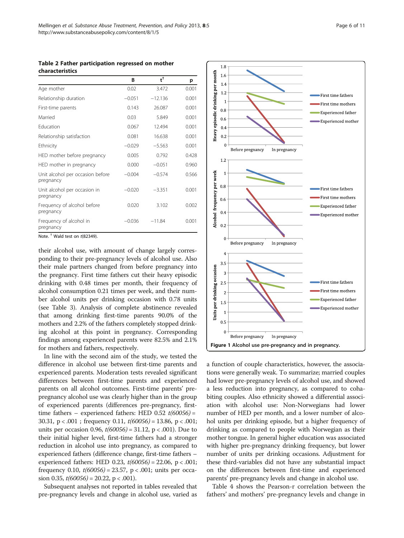<span id="page-5-0"></span>Table 2 Father participation regressed on mother characteristics

|                                               | B        | $\mathsf{t}^\dagger$ | p     |
|-----------------------------------------------|----------|----------------------|-------|
| Age mother                                    | 0.02     | 3.472                | 0.001 |
| Relationship duration                         | $-0.051$ | $-12.136$            | 0.001 |
| First-time parents                            | 0.143    | 26.087               | 0.001 |
| Married                                       | 0.03     | 5.849                | 0.001 |
| <b>Education</b>                              | 0.067    | 12.494               | 0.001 |
| Relationship satisfaction                     | 0.081    | 16.638               | 0.001 |
| Ethnicity                                     | $-0.029$ | $-5.563$             | 0.001 |
| HED mother before pregnancy                   | 0.005    | 0.792                | 0.428 |
| HED mother in pregnancy                       | 0.000    | $-0.051$             | 0.960 |
| Unit alcohol per occasion before<br>pregnancy | $-0.004$ | $-0.574$             | 0.566 |
| Unit alcohol per occasion in<br>pregnancy     | $-0.020$ | $-3.351$             | 0.001 |
| Frequency of alcohol before<br>pregnancy      | 0.020    | 3.102                | 0.002 |
| Frequency of alcohol in<br>pregnancy          | $-0.036$ | $-11.84$             | 0.001 |

Note.<sup>†</sup> Wald test on t(82349).

their alcohol use, with amount of change largely corresponding to their pre-pregnancy levels of alcohol use. Also their male partners changed from before pregnancy into the pregnancy. First time fathers cut their heavy episodic drinking with 0.48 times per month, their frequency of alcohol consumption 0.21 times per week, and their number alcohol units per drinking occasion with 0.78 units (see Table [3](#page-6-0)). Analysis of complete abstinence revealed that among drinking first-time parents 90.0% of the mothers and 2.2% of the fathers completely stopped drinking alcohol at this point in pregnancy. Corresponding findings among experienced parents were 82.5% and 2.1% for mothers and fathers, respectively.

In line with the second aim of the study, we tested the difference in alcohol use between first-time parents and experienced parents. Moderation tests revealed significant differences between first-time parents and experienced parents on all alcohol outcomes. First-time parents' prepregnancy alcohol use was clearly higher than in the group of experienced parents (differences pre-pregnancy, firsttime fathers – experienced fathers: HED 0.52  $t(60056)$  = 30.31,  $p < .001$ ; frequency 0.11,  $t(60056) = 13.86$ ,  $p < .001$ ; units per occasion 0.96,  $t(60056) = 31.12$ , p < .001). Due to their initial higher level, first-time fathers had a stronger reduction in alcohol use into pregnancy, as compared to experienced fathers (difference change, first-time fathers – experienced fathers: HED 0.23,  $t(60056) = 22.06$ , p < .001; frequency 0.10,  $t(60056) = 23.57$ , p < .001; units per occasion 0.35,  $t(60056) = 20.22$ , p < .001).

Subsequent analyses not reported in tables revealed that pre-pregnancy levels and change in alcohol use, varied as



a function of couple characteristics, however, the associations were generally weak. To summarize; married couples had lower pre-pregnancy levels of alcohol use, and showed a less reduction into pregnancy, as compared to cohabiting couples. Also ethnicity showed a differential association with alcohol use: Non-Norwegians had lower number of HED per month, and a lower number of alcohol units per drinking episode, but a higher frequency of drinking as compared to people with Norwegian as their mother tongue. In general higher education was associated with higher pre-pregnancy drinking frequency, but lower number of units per drinking occasions. Adjustment for these third-variables did not have any substantial impact on the differences between first-time and experienced parents' pre-pregnancy levels and change in alcohol use.

Table [4](#page-6-0) shows the Pearson-r correlation between the fathers' and mothers' pre-pregnancy levels and change in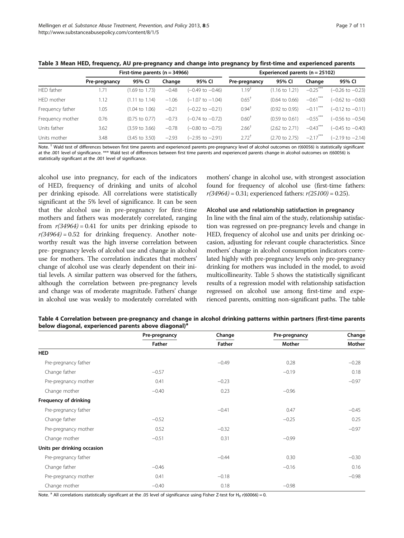<span id="page-6-0"></span>

| Table 3 Mean HED, frequency, AU pre-pregnancy and change into pregnancy by first-time and experienced parents |  |  |  |  |  |
|---------------------------------------------------------------------------------------------------------------|--|--|--|--|--|
|---------------------------------------------------------------------------------------------------------------|--|--|--|--|--|

|                  | First-time parents $(n = 34966)$ |                           |         | Experienced parents $(n = 25102)$ |                  |                           |                        |                             |
|------------------|----------------------------------|---------------------------|---------|-----------------------------------|------------------|---------------------------|------------------------|-----------------------------|
|                  | Pre-pregnancy                    | 95% CI                    | Change  | 95% CI                            | Pre-pregnancy    | 95% CI                    | Change                 | 95% CI                      |
| HED father       | 1.71                             | $(1.69 \text{ to } 1.73)$ | $-0.48$ | $(-0.49 \text{ to } -0.46)$       | $1.19^{T}$       | $(1.16 \text{ to } 1.21)$ | $-0.25$                | $(-0.26 \text{ to } -0.23)$ |
| HED mother       | 1.12                             | $(1.11 \text{ to } 1.14)$ | $-1.06$ | $(-1.07$ to $-1.04)$              | $0.65^+$         | $(0.64 \text{ to } 0.66)$ | $-0.61***$             | $(-0.62 \text{ to } -0.60)$ |
| Frequency father | 1.05                             | $(1.04 \text{ to } 1.06)$ | $-0.21$ | $(-0.22 \text{ to } -0.21)$       | $0.94^{\dagger}$ | $(0.92 \text{ to } 0.95)$ | $-0.11$ <sup>***</sup> | $(-0.12 \text{ to } -0.11)$ |
| Frequency mother | 0.76                             | $(0.75 \text{ to } 0.77)$ | $-0.73$ | $(-0.74 \text{ to } -0.72)$       | $0.60^{+}$       | $(0.59 \text{ to } 0.61)$ | $-0.55***$             | $(-0.56 \text{ to } -0.54)$ |
| Units father     | 3.62                             | $(3.59 \text{ to } 3.66)$ | $-0.78$ | $(-0.80 \text{ to } -0.75)$       | $2.66^{\dagger}$ | $(2.62 \text{ to } 2.71)$ | $-0.43***$             | $(-0.45 \text{ to } -0.40)$ |
| Units mother     | 3.48                             | $(3.45 \text{ to } 3.50)$ | $-2.93$ | $(-2.95 \text{ to } -2.91)$       | $2.72^{+}$       | $(2.70 \text{ to } 2.75)$ | $-2.17***$             | $(-2.19 \text{ to } -2.14)$ |

Note.<sup>†</sup> Wald test of differences between first time parents and experienced parents pre-pregnancy level of alcohol outcomes on t(60056) is statistically significant at the .001 level of significance. \*\*\* Wald test of differences between first time parents and experienced parents change in alcohol outcomes on t(60056) is statistically significant at the .001 level of significance.

alcohol use into pregnancy, for each of the indicators of HED, frequency of drinking and units of alcohol per drinking episode. All correlations were statistically significant at the 5% level of significance. It can be seen that the alcohol use in pre-pregnancy for first-time mothers and fathers was moderately correlated, ranging from  $r(34964) = 0.41$  for units per drinking episode to  $r(34964) = 0.52$  for drinking frequency. Another noteworthy result was the high inverse correlation between pre- pregnancy levels of alcohol use and change in alcohol use for mothers. The correlation indicates that mothers' change of alcohol use was clearly dependent on their initial levels. A similar pattern was observed for the fathers, although the correlation between pre-pregnancy levels and change was of moderate magnitude. Fathers' change in alcohol use was weakly to moderately correlated with

mothers' change in alcohol use, with strongest association found for frequency of alcohol use (first-time fathers:  $r(34964) = 0.31$ ; experienced fathers:  $r(25100) = 0.25$ ).

## Alcohol use and relationship satisfaction in pregnancy

In line with the final aim of the study, relationship satisfaction was regressed on pre-pregnancy levels and change in HED, frequency of alcohol use and units per drinking occasion, adjusting for relevant couple characteristics. Since mothers' change in alcohol consumption indicators correlated highly with pre-pregnancy levels only pre-pregnancy drinking for mothers was included in the model, to avoid multicollinearity. Table [5](#page-7-0) shows the statistically significant results of a regression model with relationship satisfaction regressed on alcohol use among first-time and experienced parents, omitting non-significant paths. The table

|                             | Pre-pregnancy | Change  | Pre-pregnancy | Change        |  |
|-----------------------------|---------------|---------|---------------|---------------|--|
|                             | Father        | Father  | <b>Mother</b> | <b>Mother</b> |  |
| <b>HED</b>                  |               |         |               |               |  |
| Pre-pregnancy father        |               | $-0.49$ | 0.28          | $-0.28$       |  |
| Change father               | $-0.57$       |         | $-0.19$       | 0.18          |  |
| Pre-pregnancy mother        | 0.41          | $-0.23$ |               | $-0.97$       |  |
| Change mother               | $-0.40$       | 0.23    | $-0.96$       |               |  |
| Frequency of drinking       |               |         |               |               |  |
| Pre-pregnancy father        |               | $-0.41$ | 0.47          | $-0.45$       |  |
| Change father               | $-0.52$       |         | $-0.25$       | 0.25          |  |
| Pre-pregnancy mother        | 0.52          | $-0.32$ |               | $-0.97$       |  |
| Change mother               | $-0.51$       | 0.31    | $-0.99$       |               |  |
| Units per drinking occasion |               |         |               |               |  |
| Pre-pregnancy father        |               | $-0.44$ | 0.30          | $-0.30$       |  |
| Change father               | $-0.46$       |         | $-0.16$       | 0.16          |  |
| Pre-pregnancy mother        | 0.41          | $-0.18$ |               | $-0.98$       |  |
| Change mother               | $-0.40$       | 0.18    | $-0.98$       |               |  |

Table 4 Correlation between pre-pregnancy and change in alcohol drinking patterns within partners (first-time parents below diagonal, experienced parents above diagonal)<sup>a</sup>

Note. <sup>a</sup> All correlations statistically significant at the .05 level of significance using Fisher Z-test for H<sub>0</sub> r(60066) = 0.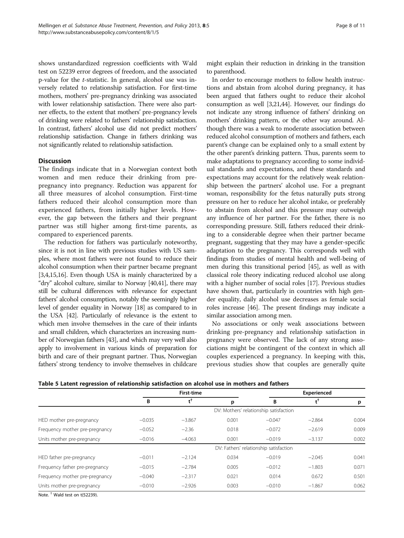<span id="page-7-0"></span>shows unstandardized regression coefficients with Wald test on 52239 error degrees of freedom, and the associated p-value for the t-statistic. In general, alcohol use was inversely related to relationship satisfaction. For first-time mothers, mothers' pre-pregnancy drinking was associated with lower relationship satisfaction. There were also partner effects, to the extent that mothers' pre-pregnancy levels of drinking were related to fathers' relationship satisfaction. In contrast, fathers' alcohol use did not predict mothers' relationship satisfaction. Change in fathers drinking was not significantly related to relationship satisfaction.

## **Discussion**

The findings indicate that in a Norwegian context both women and men reduce their drinking from prepregnancy into pregnancy. Reduction was apparent for all three measures of alcohol consumption. First-time fathers reduced their alcohol consumption more than experienced fathers, from initially higher levels. However, the gap between the fathers and their pregnant partner was still higher among first-time parents, as compared to experienced parents.

The reduction for fathers was particularly noteworthy, since it is not in line with previous studies with US samples, where most fathers were not found to reduce their alcohol consumption when their partner became pregnant [[3,4,15,16\]](#page-9-0). Even though USA is mainly characterized by a "dry" alcohol culture, similar to Norway [[40,41](#page-10-0)], there may still be cultural differences with relevance for expectant fathers' alcohol consumption, notably the seemingly higher level of gender equality in Norway [\[18\]](#page-9-0) as compared to in the USA [\[42](#page-10-0)]. Particularly of relevance is the extent to which men involve themselves in the care of their infants and small children, which characterizes an increasing number of Norwegian fathers [\[43\]](#page-10-0), and which may very well also apply to involvement in various kinds of preparation for birth and care of their pregnant partner. Thus, Norwegian fathers' strong tendency to involve themselves in childcare might explain their reduction in drinking in the transition to parenthood.

In order to encourage mothers to follow health instructions and abstain from alcohol during pregnancy, it has been argued that fathers ought to reduce their alcohol consumption as well [\[3,21,](#page-9-0)[44\]](#page-10-0). However, our findings do not indicate any strong influence of fathers' drinking on mothers' drinking pattern, or the other way around. Although there was a weak to moderate association between reduced alcohol consumption of mothers and fathers, each parent's change can be explained only to a small extent by the other parent's drinking pattern. Thus, parents seem to make adaptations to pregnancy according to some individual standards and expectations, and these standards and expectations may account for the relatively weak relationship between the partners' alcohol use. For a pregnant woman, responsibility for the fetus naturally puts strong pressure on her to reduce her alcohol intake, or preferably to abstain from alcohol and this pressure may outweigh any influence of her partner. For the father, there is no corresponding pressure. Still, fathers reduced their drinking to a considerable degree when their partner became pregnant, suggesting that they may have a gender-specific adaptation to the pregnancy. This corresponds well with findings from studies of mental health and well-being of men during this transitional period [[45](#page-10-0)], as well as with classical role theory indicating reduced alcohol use along with a higher number of social roles [\[17\]](#page-9-0). Previous studies have shown that, particularly in countries with high gender equality, daily alcohol use decreases as female social roles increase [\[46\]](#page-10-0). The present findings may indicate a similar association among men.

No associations or only weak associations between drinking pre-pregnancy and relationship satisfaction in pregnancy were observed. The lack of any strong associations might be contingent of the context in which all couples experienced a pregnancy. In keeping with this, previous studies show that couples are generally quite

|  |  | Table 5 Latent regression of relationship satisfaction on alcohol use in mothers and fathers |  |
|--|--|----------------------------------------------------------------------------------------------|--|
|--|--|----------------------------------------------------------------------------------------------|--|

|                                |          | <b>First-time</b>      |       |                                        | Experienced            |       |
|--------------------------------|----------|------------------------|-------|----------------------------------------|------------------------|-------|
|                                | B        | $\mathbf{t}^{\dagger}$ | p     | В                                      | $\mathbf{t}^{\dagger}$ | p     |
|                                |          |                        |       | DV: Mothers' relationship satisfaction |                        |       |
| HED mother pre-pregnancy       | $-0.035$ | $-3.867$               | 0.001 | $-0.047$                               | $-2.864$               | 0.004 |
| Frequency mother pre-pregnancy | $-0.052$ | $-2.36$                | 0.018 | $-0.072$                               | $-2.619$               | 0.009 |
| Units mother pre-pregnancy     | $-0.016$ | $-4.063$               | 0.001 | $-0.019$                               | $-3.137$               | 0.002 |
|                                |          |                        |       | DV: Fathers' relationship satisfaction |                        |       |
| HED father pre-pregnancy       | $-0.011$ | $-2.124$               | 0.034 | $-0.019$                               | $-2.045$               | 0.041 |
| Frequency father pre-pregnancy | $-0.015$ | $-2.784$               | 0.005 | $-0.012$                               | $-1.803$               | 0.071 |
| Frequency mother pre-pregnancy | $-0.040$ | $-2.317$               | 0.021 | 0.014                                  | 0.672                  | 0.501 |
| Units mother pre-pregnancy     | $-0.010$ | $-2.926$               | 0.003 | $-0.010$                               | $-1.867$               | 0.062 |

Note. † Wald test on t(52239).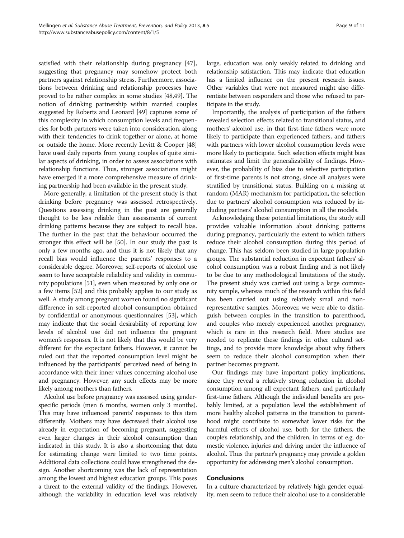satisfied with their relationship during pregnancy [\[47](#page-10-0)], suggesting that pregnancy may somehow protect both partners against relationship stress. Furthermore, associations between drinking and relationship processes have proved to be rather complex in some studies [\[48,49](#page-10-0)]. The notion of drinking partnership within married couples suggested by Roberts and Leonard [\[49](#page-10-0)] captures some of this complexity in which consumption levels and frequencies for both partners were taken into consideration, along with their tendencies to drink together or alone, at home or outside the home. More recently Levitt & Cooper [[48](#page-10-0)] have used daily reports from young couples of quite similar aspects of drinking, in order to assess associations with relationship functions. Thus, stronger associations might have emerged if a more comprehensive measure of drinking partnership had been available in the present study.

More generally, a limitation of the present study is that drinking before pregnancy was assessed retrospectively. Questions assessing drinking in the past are generally thought to be less reliable than assessments of current drinking patterns because they are subject to recall bias. The further in the past that the behaviour occurred the stronger this effect will be [[50](#page-10-0)]. In our study the past is only a few months ago, and thus it is not likely that any recall bias would influence the parents' responses to a considerable degree. Moreover, self-reports of alcohol use seem to have acceptable reliability and validity in community populations [\[51](#page-10-0)], even when measured by only one or a few items [\[52\]](#page-10-0) and this probably applies to our study as well. A study among pregnant women found no significant difference in self-reported alcohol consumption obtained by confidential or anonymous questionnaires [\[53](#page-10-0)], which may indicate that the social desirability of reporting low levels of alcohol use did not influence the pregnant women's responses. It is not likely that this would be very different for the expectant fathers. However, it cannot be ruled out that the reported consumption level might be influenced by the participants' perceived need of being in accordance with their inner values concerning alcohol use and pregnancy. However, any such effects may be more likely among mothers than fathers.

Alcohol use before pregnancy was assessed using genderspecific periods (men 6 months, women only 3 months). This may have influenced parents' responses to this item differently. Mothers may have decreased their alcohol use already in expectation of becoming pregnant, suggesting even larger changes in their alcohol consumption than indicated in this study. It is also a shortcoming that data for estimating change were limited to two time points. Additional data collections could have strengthened the design. Another shortcoming was the lack of representation among the lowest and highest education groups. This poses a threat to the external validity of the findings. However, although the variability in education level was relatively large, education was only weakly related to drinking and relationship satisfaction. This may indicate that education has a limited influence on the present research issues. Other variables that were not measured might also differentiate between responders and those who refused to participate in the study.

Importantly, the analysis of participation of the fathers revealed selection effects related to transitional status, and mothers' alcohol use, in that first-time fathers were more likely to participate than experienced fathers, and fathers with partners with lower alcohol consumption levels were more likely to participate. Such selection effects might bias estimates and limit the generalizability of findings. However, the probability of bias due to selective participation of first-time parents is not strong, since all analyses were stratified by transitional status. Building on a missing at random (MAR) mechanism for participation, the selection due to partners' alcohol consumption was reduced by including partners' alcohol consumption in all the models.

Acknowledging these potential limitations, the study still provides valuable information about drinking patterns during pregnancy, particularly the extent to which fathers reduce their alcohol consumption during this period of change. This has seldom been studied in large population groups. The substantial reduction in expectant fathers' alcohol consumption was a robust finding and is not likely to be due to any methodological limitations of the study. The present study was carried out using a large community sample, whereas much of the research within this field has been carried out using relatively small and nonrepresentative samples. Moreover, we were able to distinguish between couples in the transition to parenthood, and couples who merely experienced another pregnancy, which is rare in this research field. More studies are needed to replicate these findings in other cultural settings, and to provide more knowledge about why fathers seem to reduce their alcohol consumption when their partner becomes pregnant.

Our findings may have important policy implications, since they reveal a relatively strong reduction in alcohol consumption among all expectant fathers, and particularly first-time fathers. Although the individual benefits are probably limited, at a population level the establishment of more healthy alcohol patterns in the transition to parenthood might contribute to somewhat lower risks for the harmful effects of alcohol use, both for the fathers, the couple's relationship, and the children, in terms of e.g. domestic violence, injuries and driving under the influence of alcohol. Thus the partner's pregnancy may provide a golden opportunity for addressing men's alcohol consumption.

#### Conclusions

In a culture characterized by relatively high gender equality, men seem to reduce their alcohol use to a considerable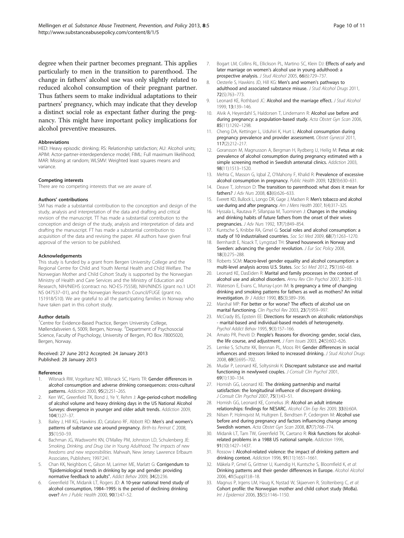<span id="page-9-0"></span>degree when their partner becomes pregnant. This applies particularly to men in the transition to parenthood. The change in fathers' alcohol use was only slightly related to reduced alcohol consumption of their pregnant partner. Thus fathers seem to make individual adaptations to their partners' pregnancy, which may indicate that they develop a distinct social role as expectant father during the pregnancy. This might have important policy implications for alcohol preventive measures.

#### Abbreviations

HED: Heavy episodic drinking; RS: Relationship satisfaction; AU: Alcohol units; APIM: Actor-partner-interdependence model; FIML: Full maximum likelihood; MAR: Missing at random; WLSMV: Weighted least squares means and variance.

#### Competing interests

There are no competing interests that we are aware of.

#### Authors' contributions

SM has made a substantial contribution to the conception and design of the study, analysis and interpretation of the data and drafting and critical revision of the manuscript. TT has made a substantial contribution to the conception and design of the study, analysis and interpretation of data and drafting the manuscript. FT has made a substantial contribution to acquisition of the data and revising the paper. All authors have given final approval of the version to be published.

#### Acknowledgements

This study is funded by a grant from Bergen University College and the Regional Centre for Child and Youth Mental Health and Child Welfare. The Norwegian Mother and Child Cohort Study is supported by the Norwegian Ministry of Health and Care Services and the Ministry of Education and Research, NIH/NIEHS (contract no. NO-ES-75558), NIH/NINDS (grant no.1 UO1 NS 047537–01), and the Norwegian Research Council/FUGE (grant no. 151918/S10). We are grateful to all the participating families in Norway who have taken part in this cohort study.

#### Author details

<sup>1</sup>Centre for Evidence-Based Practice, Bergen University College, Møllendalsveien 6, 5009, Bergen, Norway. <sup>2</sup>Department of Psychosocial Science, Faculty of Psychology, University of Bergen, PO Box 78005020, Bergen, Norway.

#### Received: 27 June 2012 Accepted: 24 January 2013 Published: 28 January 2013

#### References

- Wilsnack RW, Vogeltanz ND, Wilsnack SC, Harris TR: Gender differences in alcohol consumption and adverse drinking consequences: cross-cultural patterns. Addiction 2000, 95(2):251–265.
- Kerr WC, Greenfield TK, Bond J, Ye Y, Rehm J: Age-period-cohort modelling of alcohol volume and heavy drinking days in the US National Alcohol Surveys: divergence in younger and older adult trends. Addiction 2009, 104(1):27–37.
- 3. Bailey J, Hill KG, Hawkins JD, Catalano RF, Abbott RD: Men's and women's patterns of substance use around pregnancy. Birth-Iss Perinat C 2008, 35(1):50–59.
- 4. Bachman JG, Wadsworht KN, O'Malley PM, Johnston LD, Schulenberg JE: Smoking, Drinking, and Drug Use in Young Adulthood; The impacts of new freedoms and new responsibilities. Mahwah, New Jersey: Lawrence Erlbaum Associates, Publishers; 1997:241.
- Chan KK, Neighbors C, Gilson M, Larimer ME, Marlatt G: Corrigendum to "Epidemiological trends in drinking by age and gender: providing normative feedback to adults". Addict Behav 2009, 34(2):236.
- Greenfield TK, Midanik LT, Rogers JD: A 10-year national trend study of alcohol consumption, 1984–1995: is the period of declining drinking over? Am J Public Health 2000, 90(1):47–52.
- 7. Bogart LM, Collins RL, Ellickson PL, Martino SC, Klein DJ: Effects of early and later marriage on women's alcohol use in young adulthood: a prospective analysis. J Stud Alcohol 2005, 66(6):729–737.
- 8. Oesterle S, Hawkins JD, Hill KG: Men's and women's pathways to adulthood and associated substance misuse. *J Stud Alcohol Drugs* 2011, 72(5):763–773.
- 9. Leonard KE, Rothbard JC: Alcohol and the marriage effect. J Stud Alcohol 1999, 13:139–146.
- 10. Alvik A, Heyerdahl S, Haldorsen T, Lindemann R: Alcohol use before and during pregnancy: a population-based study. Acta Obstet Gyn Scan 2006, 85(11):1292–1298.
- 11. Cheng DA, Kettinger L, Uduhiri K, Hurt L: Alcohol consumption during pregnancy prevalence and provider assessment. Obstet Gynecol 2011,  $117(2):212-217.$
- 12. Goransson M, Magnusson A, Bergman H, Rydberg U, Heilig M: Fetus at risk: prevalence of alcohol consumption during pregnancy estimated with a simple screening method in Swedish antenatal clinics. Addiction 2003, 98(11):1513–1520.
- 13. Mehta C, Masson G, Iqbal Z, O'Mahony F, Khalid R: Prevalence of excessive alcohol consumption in pregnancy. Public Health 2009, 123(9):630–631.
- 14. Deave T, Johnson D: The transition to parenthood: what does it mean for fathers? *J Adv Nurs* 2008, 63(6):626-633.
- 15. Everett KD, Bullock L, Longo DR, Gage J, Madsen R: Men's tobacco and alcohol use during and after pregnancy. Am J Mens Health 2007, 1(4):317-325.
- 16. Hyssala L, Rautava P, Sillanpaa M, Tuominen J: Changes in the smoking and drinking habits of future fathers from the onset of their wives pregnancies. J Adv Nurs 1992, 17(7):849–854.
- 17. Kuntsche S, Knibbe RA, Gmel G: Social roles and alcohol consumption: a study of 10 industrialised countries. Soc Sci Med 2009, 68(7):1263–1270.
- 18. Bernhardt E, Noack T, Lyngstad TH: Shared housework in Norway and Sweden: advancing the gender revolution. J Eur Soc Policy 2008, 18(3):275–288.
- 19. Roberts SCM: Macro-level gender equality and alcohol consumption: a multi-level analysis across U.S. States. Soc Sci Med 2012, 75(1):60–68.
- 20. Leonard KE, DasEiden R: Marital and family processes in the context of alcohol use and alcohol disorders. Annu Rev Clin Psychol 2007, 3:285-310.
- 21. Waterson E, Evans C, Murray-Lyon IM: Is pregnancy a time of changing drinking and smoking patterns for fathers as well as mothers? An initial investigation. Br J Addict 1990, 85(3):389–396.
- 22. Marshal MP: For better or for worse? The effects of alcohol use on marital functioning. Clin Psychol Rev 2003, 23(7):959–997.
- 23. McCrady BS, Epstein EE: Directions for research on alcoholic relationships - marital-based and individual-based models of heterogeneity. Psychol Addict Behav 1995, 9(3):157–166.
- 24. Amato PR, Previti D: People's Reasons for divorcing: gender, social class, the life course, and adjustment. J Fam Issues 2003, 24(5):602-626.
- 25. Lemke S, Schutte KK, Brennan PL, Moos RH: Gender differences in social influences and stressors linked to increased drinking. J Stud Alcohol Drugs 2008, 69(5):695–702.
- 26. Mudar P, Leonard KE, Soltysinski K: Discrepant substance use and marital functioning in newlywed couples. J Consult Clin Psychol 2001, 69(1):130–134.
- 27. Homish GG, Leonard KE: The drinking partnership and marital satisfaction: the longitudinal influence of discrepant drinking. J Consult Clin Psychol 2007, 75(1):43–51.
- 28. Homish GG, Leonard KE, Cornelius JR: Alcohol an adult intimate relationships: findings for NESARC. Alcohol Clin Exp Res 2009, 33(6):60A.
- 29. Nilsen P, Holmqvist M, Hultgren E, Bendtsen P, Cedergren M: Alcohol use before and during pregnancy and factors influencing change among Swedish women. Acta Obstet Gyn Scan 2008, 87(7):768–774.
- 30. Midanik LT, Tam TW, Greenfield TK, Caetano R: Risk functions for alcoholrelated problems in a 1988 US national sample. Addiction 1996, 91(10):1427–1437.
- 31. Rossow I: Alcohol-related violence: the impact of drinking pattern and drinking context. Addiction 1996, 91(11):1651–1661.
- 32. Mäkela P, Gmel G, Grittner U, Kuendig H, Kuntsche S, Bloomfield K, et al: Drinking patterns and their gender differences in Europe. Alcohol Alcohol 2006, 41(Suppl1):8–18.
- 33. Magnus P, Irgens LM, Haug K, Nystad W, Skjaerven R, Stoltenberg C, et al: Cohort profile: the Norwegian mother and child cohort study (MoBa). Int J Epidemiol 2006, 35(5):1146–1150.